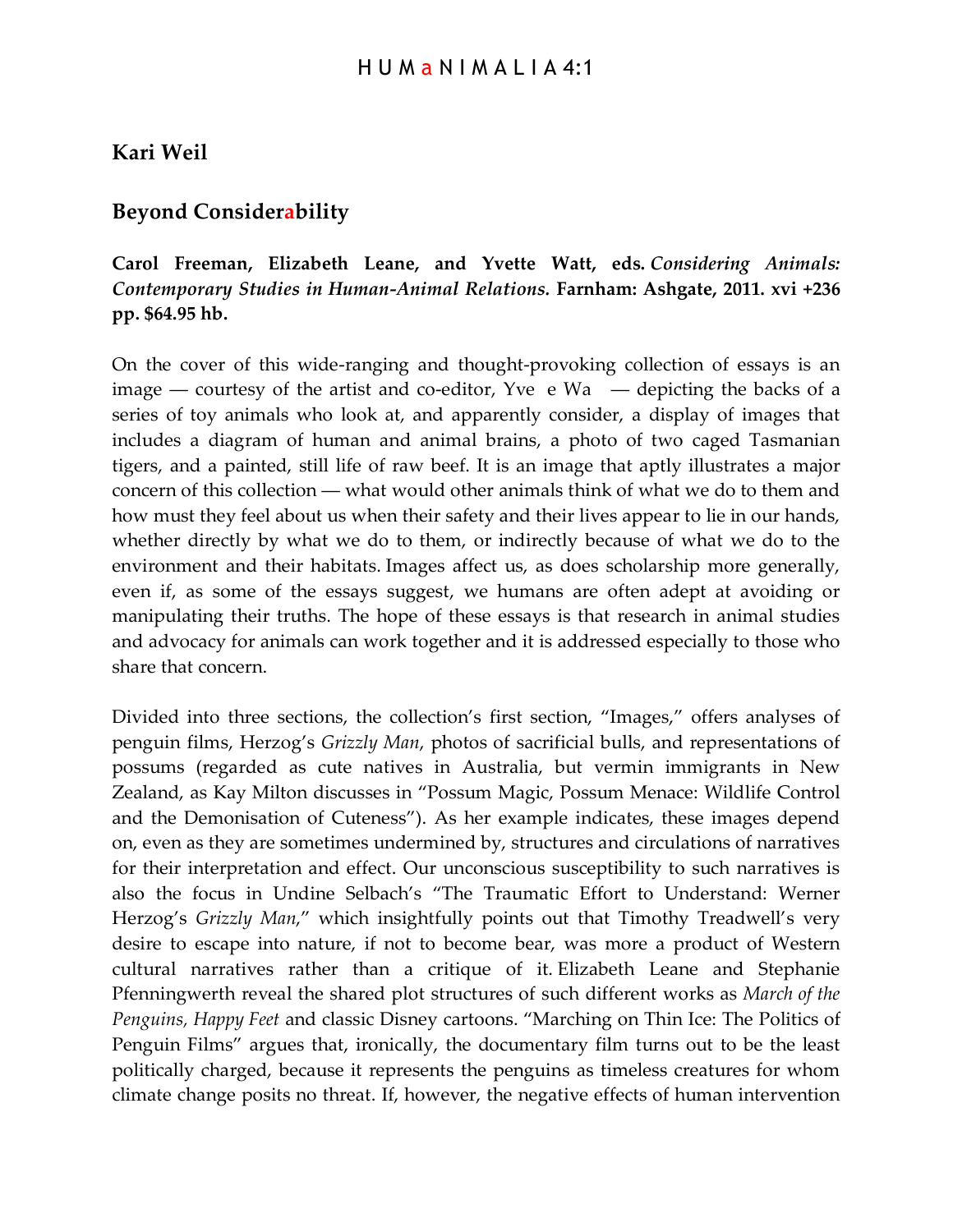## **Kari Weil**

## **Beyond Considerability**

## **Carol Freeman, Elizabeth Leane, and Yvette Watt, eds.** *Considering Animals: Contemporary Studies in Human-Animal Relations.* **Farnham: Ashgate, 2011. xvi +236 pp. \$64.95 hb.**

On the cover of this wide-ranging and thought-provoking collection of essays is an image — courtesy of the artist and co-editor, Yve e  $Wa$  — depicting the backs of a series of toy animals who look at, and apparently consider, a display of images that includes a diagram of human and animal brains, a photo of two caged Tasmanian tigers, and a painted, still life of raw beef. It is an image that aptly illustrates a major concern of this collection ― what would other animals think of what we do to them and how must they feel about us when their safety and their lives appear to lie in our hands, whether directly by what we do to them, or indirectly because of what we do to the environment and their habitats. Images affect us, as does scholarship more generally, even if, as some of the essays suggest, we humans are often adept at avoiding or manipulating their truths. The hope of these essays is that research in animal studies and advocacy for animals can work together and it is addressed especially to those who share that concern.

Divided into three sections, the collection's first section, "Images," offers analyses of penguin films, Herzog's *Grizzly Man*, photos of sacrificial bulls, and representations of possums (regarded as cute natives in Australia, but vermin immigrants in New Zealand, as Kay Milton discusses in "Possum Magic, Possum Menace: Wildlife Control and the Demonisation of Cuteness"). As her example indicates, these images depend on, even as they are sometimes undermined by, structures and circulations of narratives for their interpretation and effect. Our unconscious susceptibility to such narratives is also the focus in Undine Selbach's "The Traumatic Effort to Understand: Werner Herzog's *Grizzly Man*," which insightfully points out that Timothy Treadwell's very desire to escape into nature, if not to become bear, was more a product of Western cultural narratives rather than a critique of it. Elizabeth Leane and Stephanie Pfenningwerth reveal the shared plot structures of such different works as *March of the Penguins, Happy Feet* and classic Disney cartoons. "Marching on Thin Ice: The Politics of Penguin Films" argues that, ironically, the documentary film turns out to be the least politically charged, because it represents the penguins as timeless creatures for whom climate change posits no threat. If, however, the negative effects of human intervention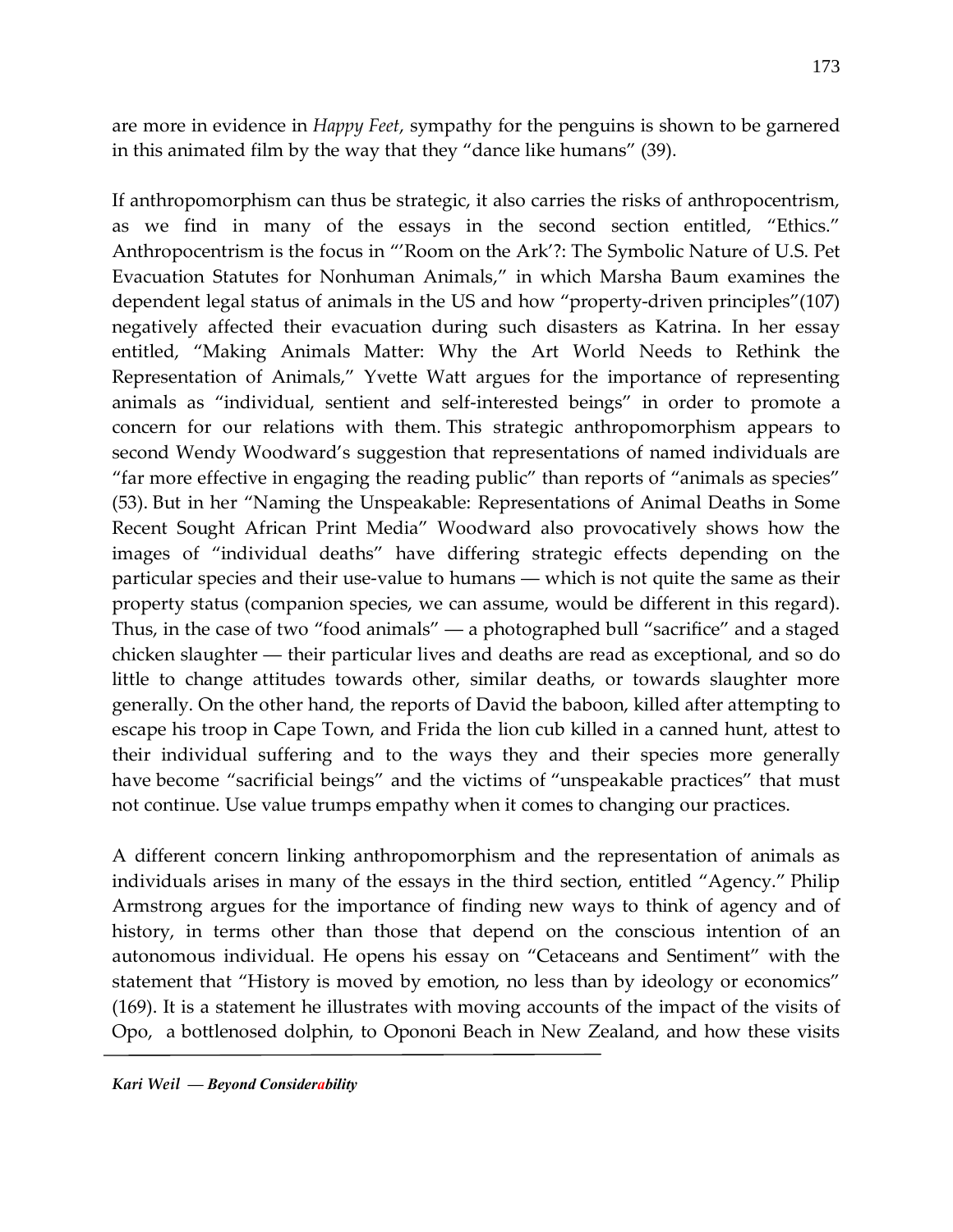are more in evidence in *Happy Feet*, sympathy for the penguins is shown to be garnered in this animated film by the way that they "dance like humans" (39).

If anthropomorphism can thus be strategic, it also carries the risks of anthropocentrism, as we find in many of the essays in the second section entitled, "Ethics." Anthropocentrism is the focus in "'Room on the Ark'?: The Symbolic Nature of U.S. Pet Evacuation Statutes for Nonhuman Animals," in which Marsha Baum examines the dependent legal status of animals in the US and how "property-driven principles"(107) negatively affected their evacuation during such disasters as Katrina. In her essay entitled, "Making Animals Matter: Why the Art World Needs to Rethink the Representation of Animals," Yvette Watt argues for the importance of representing animals as "individual, sentient and self-interested beings" in order to promote a concern for our relations with them. This strategic anthropomorphism appears to second Wendy Woodward's suggestion that representations of named individuals are "far more effective in engaging the reading public" than reports of "animals as species" (53). But in her "Naming the Unspeakable: Representations of Animal Deaths in Some Recent Sought African Print Media" Woodward also provocatively shows how the images of "individual deaths" have differing strategic effects depending on the particular species and their use-value to humans ― which is not quite the same as their property status (companion species, we can assume, would be different in this regard). Thus, in the case of two "food animals" ― a photographed bull "sacrifice" and a staged chicken slaughter ― their particular lives and deaths are read as exceptional, and so do little to change attitudes towards other, similar deaths, or towards slaughter more generally. On the other hand, the reports of David the baboon, killed after attempting to escape his troop in Cape Town, and Frida the lion cub killed in a canned hunt, attest to their individual suffering and to the ways they and their species more generally have become "sacrificial beings" and the victims of "unspeakable practices" that must not continue. Use value trumps empathy when it comes to changing our practices.

A different concern linking anthropomorphism and the representation of animals as individuals arises in many of the essays in the third section, entitled "Agency." Philip Armstrong argues for the importance of finding new ways to think of agency and of history, in terms other than those that depend on the conscious intention of an autonomous individual. He opens his essay on "Cetaceans and Sentiment" with the statement that "History is moved by emotion, no less than by ideology or economics" (169). It is a statement he illustrates with moving accounts of the impact of the visits of Opo, a bottlenosed dolphin, to Opononi Beach in New Zealand, and how these visits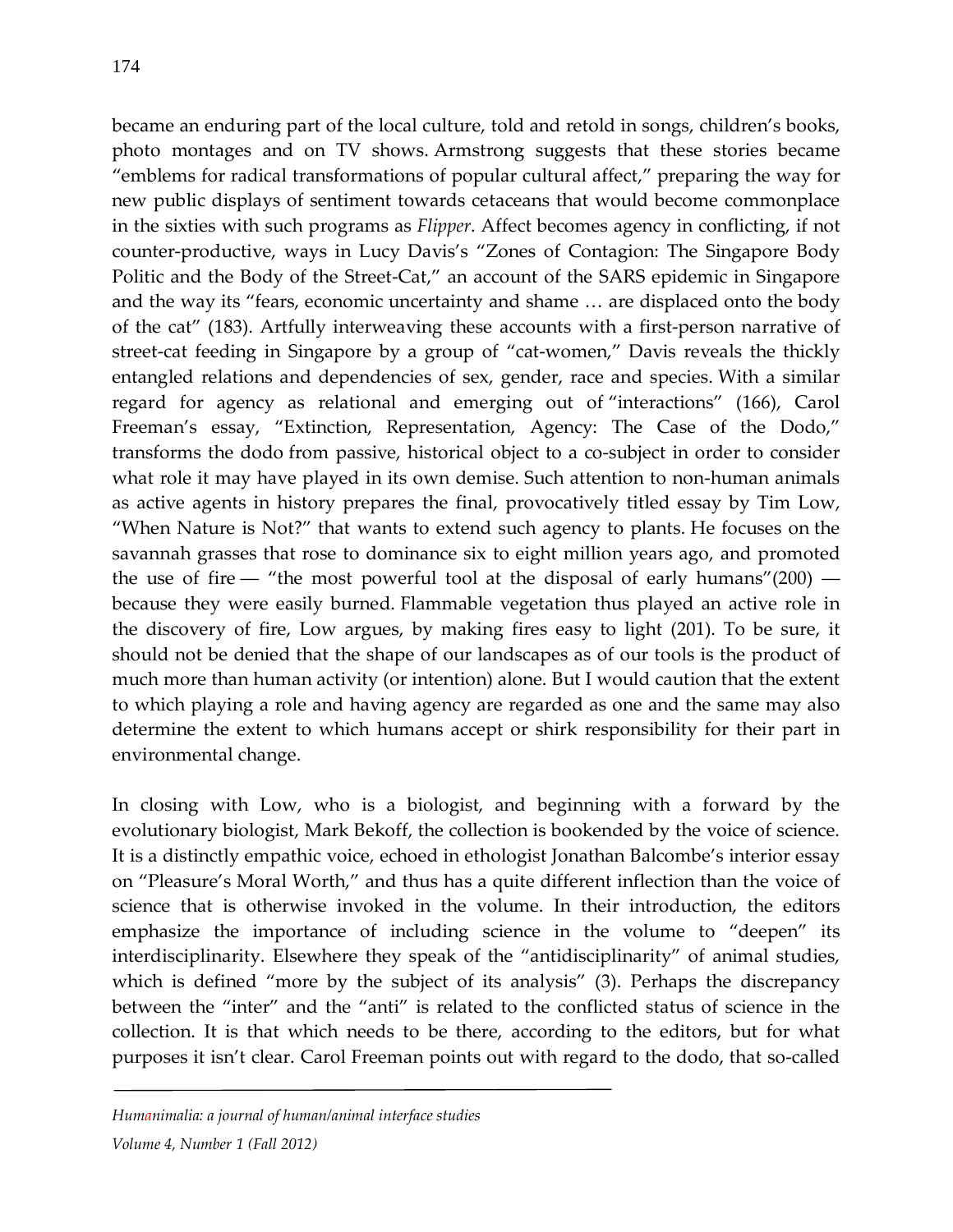became an enduring part of the local culture, told and retold in songs, children's books, photo montages and on TV shows. Armstrong suggests that these stories became "emblems for radical transformations of popular cultural affect," preparing the way for new public displays of sentiment towards cetaceans that would become commonplace in the sixties with such programs as *Flipper*. Affect becomes agency in conflicting, if not counter-productive, ways in Lucy Davis's "Zones of Contagion: The Singapore Body Politic and the Body of the Street-Cat," an account of the SARS epidemic in Singapore and the way its "fears, economic uncertainty and shame … are displaced onto the body of the cat" (183). Artfully interweaving these accounts with a first-person narrative of street-cat feeding in Singapore by a group of "cat-women," Davis reveals the thickly entangled relations and dependencies of sex, gender, race and species. With a similar regard for agency as relational and emerging out of "interactions" (166), Carol Freeman's essay, "Extinction, Representation, Agency: The Case of the Dodo," transforms the dodo from passive, historical object to a co-subject in order to consider what role it may have played in its own demise. Such attention to non-human animals as active agents in history prepares the final, provocatively titled essay by Tim Low, "When Nature is Not?" that wants to extend such agency to plants. He focuses on the savannah grasses that rose to dominance six to eight million years ago, and promoted the use of fire — "the most powerful tool at the disposal of early humans"(200) because they were easily burned. Flammable vegetation thus played an active role in the discovery of fire, Low argues, by making fires easy to light (201). To be sure, it should not be denied that the shape of our landscapes as of our tools is the product of much more than human activity (or intention) alone. But I would caution that the extent to which playing a role and having agency are regarded as one and the same may also determine the extent to which humans accept or shirk responsibility for their part in environmental change.

In closing with Low, who is a biologist, and beginning with a forward by the evolutionary biologist, Mark Bekoff, the collection is bookended by the voice of science. It is a distinctly empathic voice, echoed in ethologist Jonathan Balcombe's interior essay on "Pleasure's Moral Worth," and thus has a quite different inflection than the voice of science that is otherwise invoked in the volume. In their introduction, the editors emphasize the importance of including science in the volume to "deepen" its interdisciplinarity. Elsewhere they speak of the "antidisciplinarity" of animal studies, which is defined "more by the subject of its analysis" (3). Perhaps the discrepancy between the "inter" and the "anti" is related to the conflicted status of science in the collection. It is that which needs to be there, according to the editors, but for what purposes it isn't clear. Carol Freeman points out with regard to the dodo, that so-called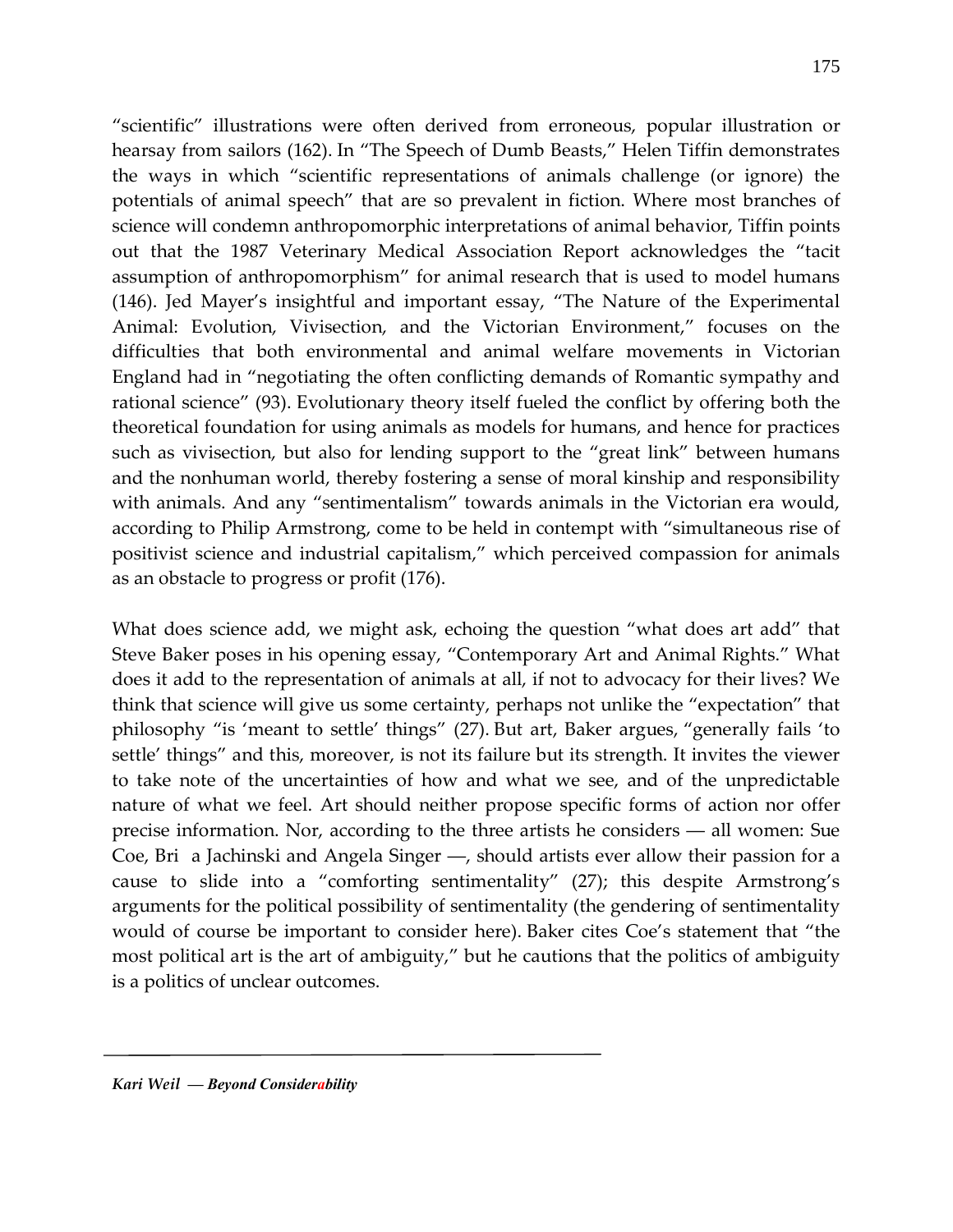"scientific" illustrations were often derived from erroneous, popular illustration or hearsay from sailors (162). In "The Speech of Dumb Beasts," Helen Tiffin demonstrates the ways in which "scientific representations of animals challenge (or ignore) the potentials of animal speech" that are so prevalent in fiction. Where most branches of science will condemn anthropomorphic interpretations of animal behavior, Tiffin points out that the 1987 Veterinary Medical Association Report acknowledges the "tacit assumption of anthropomorphism" for animal research that is used to model humans (146). Jed Mayer's insightful and important essay, "The Nature of the Experimental Animal: Evolution, Vivisection, and the Victorian Environment," focuses on the difficulties that both environmental and animal welfare movements in Victorian England had in "negotiating the often conflicting demands of Romantic sympathy and rational science" (93). Evolutionary theory itself fueled the conflict by offering both the theoretical foundation for using animals as models for humans, and hence for practices such as vivisection, but also for lending support to the "great link" between humans and the nonhuman world, thereby fostering a sense of moral kinship and responsibility with animals. And any "sentimentalism" towards animals in the Victorian era would, according to Philip Armstrong, come to be held in contempt with "simultaneous rise of positivist science and industrial capitalism," which perceived compassion for animals as an obstacle to progress or profit (176).

What does science add, we might ask, echoing the question "what does art add" that Steve Baker poses in his opening essay, "Contemporary Art and Animal Rights." What does it add to the representation of animals at all, if not to advocacy for their lives? We think that science will give us some certainty, perhaps not unlike the "expectation" that philosophy "is 'meant to settle' things" (27). But art, Baker argues, "generally fails 'to settle' things" and this, moreover, is not its failure but its strength. It invites the viewer to take note of the uncertainties of how and what we see, and of the unpredictable nature of what we feel. Art should neither propose specific forms of action nor offer precise information. Nor, according to the three artists he considers ― all women: Sue Coe, Bri a Jachinski and Angela Singer ―, should artists ever allow their passion for a cause to slide into a "comforting sentimentality" (27); this despite Armstrong's arguments for the political possibility of sentimentality (the gendering of sentimentality would of course be important to consider here). Baker cites Coe's statement that "the most political art is the art of ambiguity," but he cautions that the politics of ambiguity is a politics of unclear outcomes.